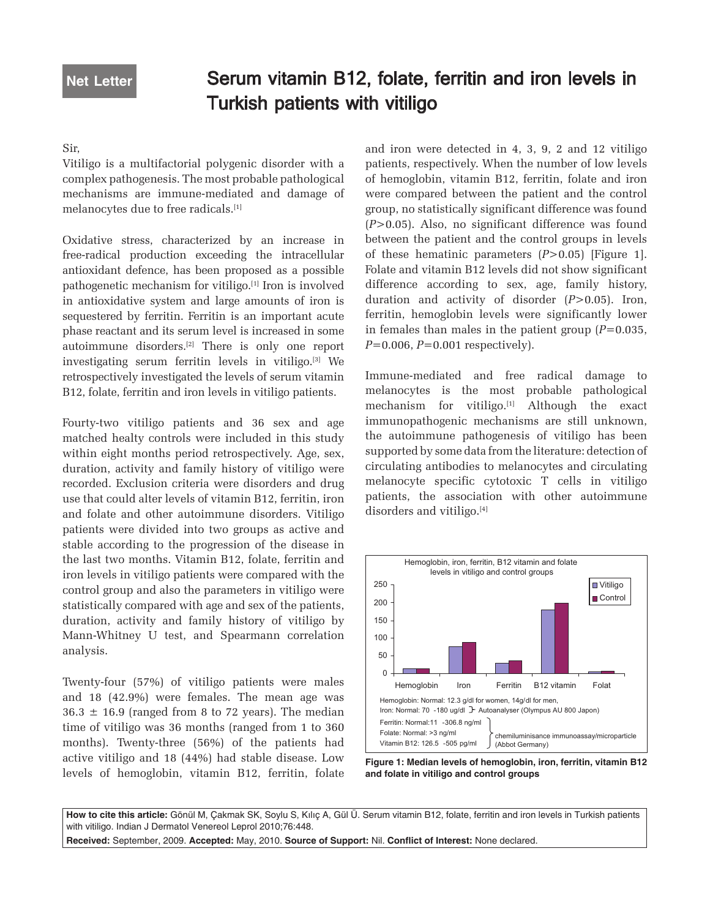# Serum vitamin B12, folate, ferritin and iron levels in Turkish patients with vitiligo

## Sir,

Vitiligo is a multifactorial polygenic disorder with a complex pathogenesis. The most probable pathological mechanisms are immune-mediated and damage of melanocytes due to free radicals.[1]

Oxidative stress, characterized by an increase in free-radical production exceeding the intracellular antioxidant defence, has been proposed as a possible pathogenetic mechanism for vitiligo.[1] Iron is involved in antioxidative system and large amounts of iron is sequestered by ferritin. Ferritin is an important acute phase reactant and its serum level is increased in some autoimmune disorders.[2] There is only one report investigating serum ferritin levels in vitiligo.[3] We retrospectively investigated the levels of serum vitamin B12, folate, ferritin and iron levels in vitiligo patients.

Fourty-two vitiligo patients and 36 sex and age matched healty controls were included in this study within eight months period retrospectively. Age, sex, duration, activity and family history of vitiligo were recorded. Exclusion criteria were disorders and drug use that could alter levels of vitamin B12, ferritin, iron and folate and other autoimmune disorders. Vitiligo patients were divided into two groups as active and stable according to the progression of the disease in the last two months. Vitamin B12, folate, ferritin and iron levels in vitiligo patients were compared with the control group and also the parameters in vitiligo were statistically compared with age and sex of the patients, duration, activity and family history of vitiligo by Mann-Whitney U test, and Spearmann correlation analysis.

Twenty-four (57%) of vitiligo patients were males and 18 (42.9%) were females. The mean age was  $36.3 \pm 16.9$  (ranged from 8 to 72 years). The median time of vitiligo was 36 months (ranged from 1 to 360 months). Twenty-three (56%) of the patients had active vitiligo and 18 (44%) had stable disease. Low levels of hemoglobin, vitamin B12, ferritin, folate and iron were detected in 4, 3, 9, 2 and 12 vitiligo patients, respectively. When the number of low levels of hemoglobin, vitamin B12, ferritin, folate and iron were compared between the patient and the control group, no statistically significant difference was found (*P*>0.05). Also, no significant difference was found between the patient and the control groups in levels of these hematinic parameters (*P*>0.05) [Figure 1]. Folate and vitamin B12 levels did not show significant difference according to sex, age, family history, duration and activity of disorder (*P*>0.05). Iron, ferritin, hemoglobin levels were significantly lower in females than males in the patient group (*P*=0.035, *P*=0.006, *P*=0.001 respectively).

Immune-mediated and free radical damage to melanocytes is the most probable pathological mechanism for vitiligo.<sup>[1]</sup> Although the exact immunopathogenic mechanisms are still unknown, the autoimmune pathogenesis of vitiligo has been supported by some data from the literature: detection of circulating antibodies to melanocytes and circulating melanocyte specific cytotoxic T cells in vitiligo patients, the association with other autoimmune disorders and vitiligo.<sup>[4]</sup>



**Figure 1: Median levels of hemoglobin, iron, ferritin, vitamin B12 and folate in vitiligo and control groups**

**How to cite this article:** Gönül M, Çakmak SK, Soylu S, Kılıç A, Gül Ü. Serum vitamin B12, folate, ferritin and iron levels in Turkish patients with vitiligo. Indian J Dermatol Venereol Leprol 2010;76:448.

**Received:** September, 2009. **Accepted:** May, 2010. **Source of Support:** Nil. **Conflict of Interest:** None declared.